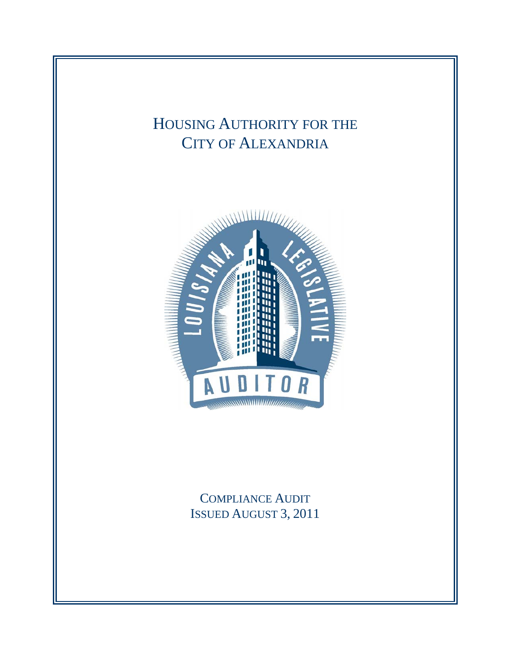# HOUSING AUTHORITY FOR THE CITY OF ALEXANDRIA



COMPLIANCE AUDIT ISSUED AUGUST 3, 2011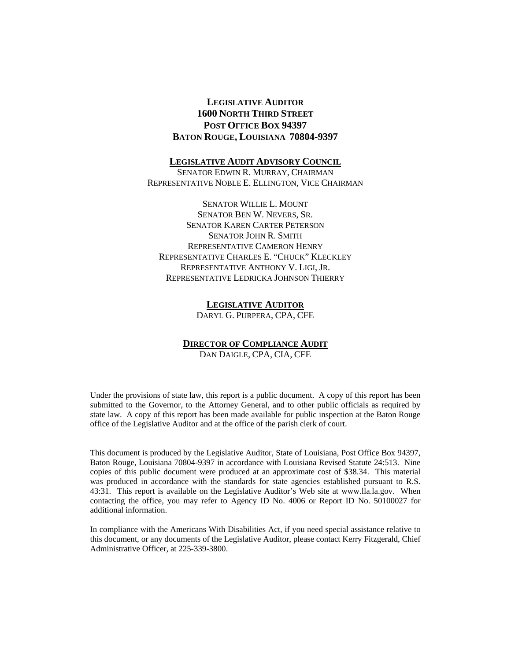#### **LEGISLATIVE AUDITOR 1600 NORTH THIRD STREET POST OFFICE BOX 94397 BATON ROUGE, LOUISIANA 70804-9397**

#### **LEGISLATIVE AUDIT ADVISORY COUNCIL**

SENATOR EDWIN R. MURRAY, CHAIRMAN REPRESENTATIVE NOBLE E. ELLINGTON, VICE CHAIRMAN

SENATOR WILLIE L. MOUNT SENATOR BEN W. NEVERS, SR. SENATOR KAREN CARTER PETERSON SENATOR JOHN R. SMITH REPRESENTATIVE CAMERON HENRY REPRESENTATIVE CHARLES E. "CHUCK" KLECKLEY REPRESENTATIVE ANTHONY V. LIGI, JR. REPRESENTATIVE LEDRICKA JOHNSON THIERRY

> **LEGISLATIVE AUDITOR** DARYL G. PURPERA, CPA, CFE

#### **DIRECTOR OF COMPLIANCE AUDIT**

DAN DAIGLE, CPA, CIA, CFE

Under the provisions of state law, this report is a public document. A copy of this report has been submitted to the Governor, to the Attorney General, and to other public officials as required by state law. A copy of this report has been made available for public inspection at the Baton Rouge office of the Legislative Auditor and at the office of the parish clerk of court.

This document is produced by the Legislative Auditor, State of Louisiana, Post Office Box 94397, Baton Rouge, Louisiana 70804-9397 in accordance with Louisiana Revised Statute 24:513. Nine copies of this public document were produced at an approximate cost of \$38.34. This material was produced in accordance with the standards for state agencies established pursuant to R.S. 43:31. This report is available on the Legislative Auditor's Web site at www.lla.la.gov. When contacting the office, you may refer to Agency ID No. 4006 or Report ID No. 50100027 for additional information.

In compliance with the Americans With Disabilities Act, if you need special assistance relative to this document, or any documents of the Legislative Auditor, please contact Kerry Fitzgerald, Chief Administrative Officer, at 225-339-3800.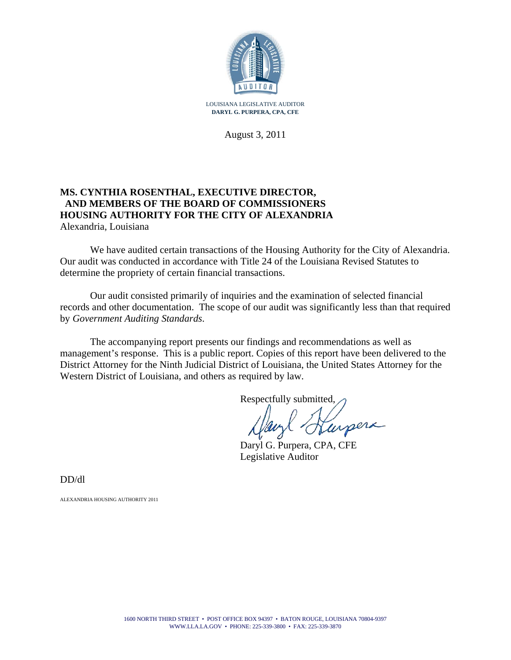

August 3, 2011

#### **MS. CYNTHIA ROSENTHAL, EXECUTIVE DIRECTOR, AND MEMBERS OF THE BOARD OF COMMISSIONERS HOUSING AUTHORITY FOR THE CITY OF ALEXANDRIA**  Alexandria, Louisiana

We have audited certain transactions of the Housing Authority for the City of Alexandria. Our audit was conducted in accordance with Title 24 of the Louisiana Revised Statutes to determine the propriety of certain financial transactions.

Our audit consisted primarily of inquiries and the examination of selected financial records and other documentation. The scope of our audit was significantly less than that required by *Government Auditing Standards*.

The accompanying report presents our findings and recommendations as well as management's response. This is a public report. Copies of this report have been delivered to the District Attorney for the Ninth Judicial District of Louisiana, the United States Attorney for the Western District of Louisiana, and others as required by law.

Respectfully submitted,

Daryl G. Purpera, CPA, CFE Legislative Auditor

DD/dl

ALEXANDRIA HOUSING AUTHORITY 2011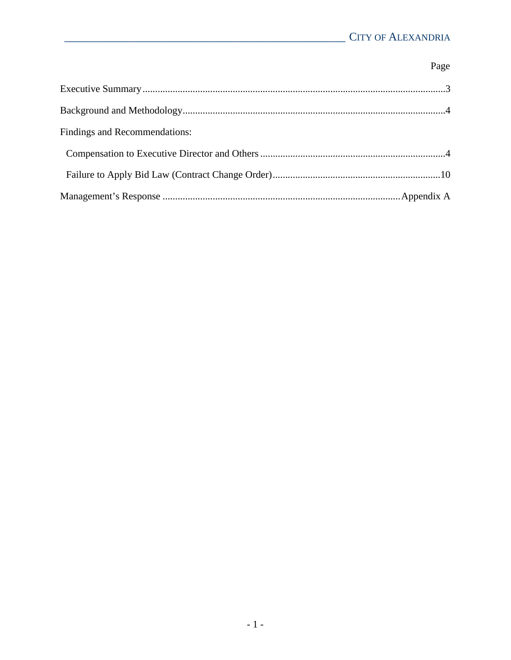|                               | Page |
|-------------------------------|------|
|                               |      |
|                               |      |
| Findings and Recommendations: |      |
|                               |      |
|                               |      |
|                               |      |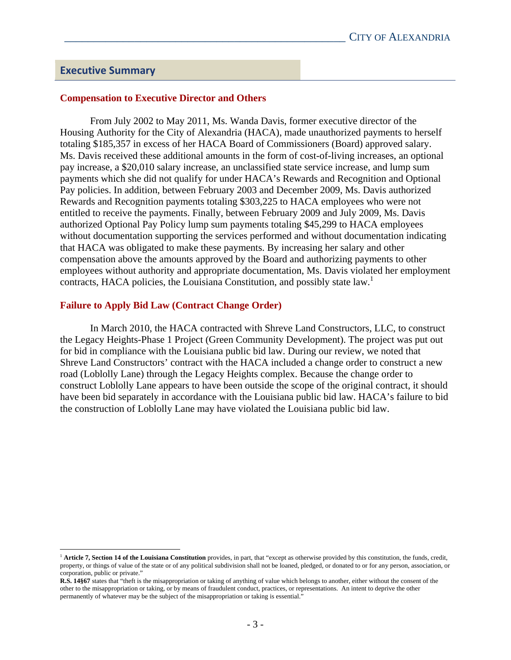# **Executive Summary**

 $\overline{a}$ 

#### **Compensation to Executive Director and Others**

From July 2002 to May 2011, Ms. Wanda Davis, former executive director of the Housing Authority for the City of Alexandria (HACA), made unauthorized payments to herself totaling \$185,357 in excess of her HACA Board of Commissioners (Board) approved salary. Ms. Davis received these additional amounts in the form of cost-of-living increases, an optional pay increase, a \$20,010 salary increase, an unclassified state service increase, and lump sum payments which she did not qualify for under HACA's Rewards and Recognition and Optional Pay policies. In addition, between February 2003 and December 2009, Ms. Davis authorized Rewards and Recognition payments totaling \$303,225 to HACA employees who were not entitled to receive the payments. Finally, between February 2009 and July 2009, Ms. Davis authorized Optional Pay Policy lump sum payments totaling \$45,299 to HACA employees without documentation supporting the services performed and without documentation indicating that HACA was obligated to make these payments. By increasing her salary and other compensation above the amounts approved by the Board and authorizing payments to other employees without authority and appropriate documentation, Ms. Davis violated her employment contracts, HACA policies, the Louisiana Constitution, and possibly state law.<sup>1</sup>

#### **Failure to Apply Bid Law (Contract Change Order)**

In March 2010, the HACA contracted with Shreve Land Constructors, LLC, to construct the Legacy Heights-Phase 1 Project (Green Community Development). The project was put out for bid in compliance with the Louisiana public bid law. During our review, we noted that Shreve Land Constructors' contract with the HACA included a change order to construct a new road (Loblolly Lane) through the Legacy Heights complex. Because the change order to construct Loblolly Lane appears to have been outside the scope of the original contract, it should have been bid separately in accordance with the Louisiana public bid law. HACA's failure to bid the construction of Loblolly Lane may have violated the Louisiana public bid law.

<sup>&</sup>lt;sup>1</sup> Article 7, Section 14 of the Louisiana Constitution provides, in part, that "except as otherwise provided by this constitution, the funds, credit, property, or things of value of the state or of any political subdivision shall not be loaned, pledged, or donated to or for any person, association, or corporation, public or private."

**R.S. 14§67** states that "theft is the misappropriation or taking of anything of value which belongs to another, either without the consent of the other to the misappropriation or taking, or by means of fraudulent conduct, practices, or representations. An intent to deprive the other permanently of whatever may be the subject of the misappropriation or taking is essential."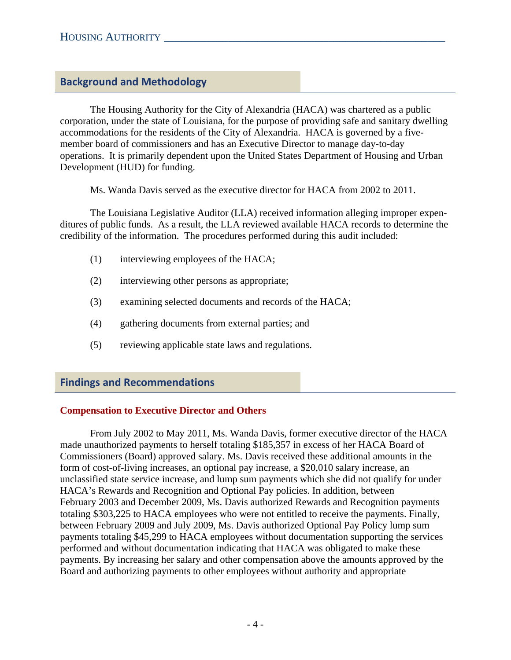# **Background and Methodology**

The Housing Authority for the City of Alexandria (HACA) was chartered as a public corporation, under the state of Louisiana, for the purpose of providing safe and sanitary dwelling accommodations for the residents of the City of Alexandria. HACA is governed by a fivemember board of commissioners and has an Executive Director to manage day-to-day operations. It is primarily dependent upon the United States Department of Housing and Urban Development (HUD) for funding.

Ms. Wanda Davis served as the executive director for HACA from 2002 to 2011.

The Louisiana Legislative Auditor (LLA) received information alleging improper expenditures of public funds. As a result, the LLA reviewed available HACA records to determine the credibility of the information. The procedures performed during this audit included:

- (1) interviewing employees of the HACA;
- (2) interviewing other persons as appropriate;
- (3) examining selected documents and records of the HACA;
- (4) gathering documents from external parties; and
- (5) reviewing applicable state laws and regulations.

# **Findings and Recommendations**

# **Compensation to Executive Director and Others**

From July 2002 to May 2011, Ms. Wanda Davis, former executive director of the HACA made unauthorized payments to herself totaling \$185,357 in excess of her HACA Board of Commissioners (Board) approved salary. Ms. Davis received these additional amounts in the form of cost-of-living increases, an optional pay increase, a \$20,010 salary increase, an unclassified state service increase, and lump sum payments which she did not qualify for under HACA's Rewards and Recognition and Optional Pay policies. In addition, between February 2003 and December 2009, Ms. Davis authorized Rewards and Recognition payments totaling \$303,225 to HACA employees who were not entitled to receive the payments. Finally, between February 2009 and July 2009, Ms. Davis authorized Optional Pay Policy lump sum payments totaling \$45,299 to HACA employees without documentation supporting the services performed and without documentation indicating that HACA was obligated to make these payments. By increasing her salary and other compensation above the amounts approved by the Board and authorizing payments to other employees without authority and appropriate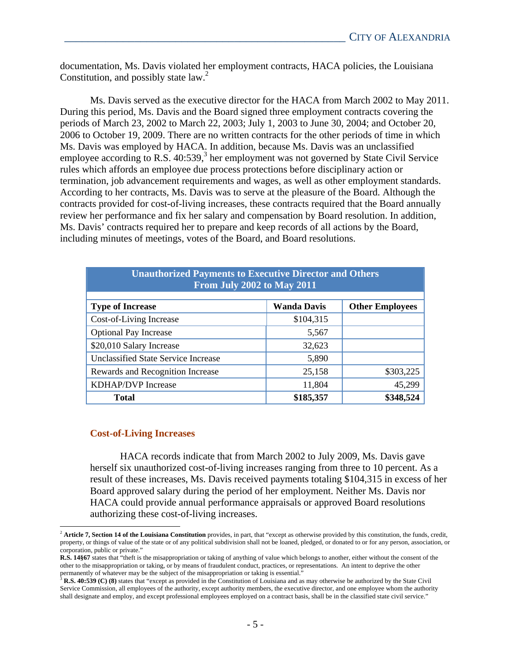documentation, Ms. Davis violated her employment contracts, HACA policies, the Louisiana Constitution, and possibly state law.<sup>2</sup>

Ms. Davis served as the executive director for the HACA from March 2002 to May 2011. During this period, Ms. Davis and the Board signed three employment contracts covering the periods of March 23, 2002 to March 22, 2003; July 1, 2003 to June 30, 2004; and October 20, 2006 to October 19, 2009. There are no written contracts for the other periods of time in which Ms. Davis was employed by HACA. In addition, because Ms. Davis was an unclassified employee according to R.S.  $40:539$ , her employment was not governed by State Civil Service rules which affords an employee due process protections before disciplinary action or termination, job advancement requirements and wages, as well as other employment standards. According to her contracts, Ms. Davis was to serve at the pleasure of the Board. Although the contracts provided for cost-of-living increases, these contracts required that the Board annually review her performance and fix her salary and compensation by Board resolution. In addition, Ms. Davis' contracts required her to prepare and keep records of all actions by the Board, including minutes of meetings, votes of the Board, and Board resolutions.

| <b>Unauthorized Payments to Executive Director and Others</b><br>From July 2002 to May 2011 |                    |                        |  |
|---------------------------------------------------------------------------------------------|--------------------|------------------------|--|
| <b>Type of Increase</b>                                                                     | <b>Wanda Davis</b> | <b>Other Employees</b> |  |
| Cost-of-Living Increase                                                                     | \$104,315          |                        |  |
| <b>Optional Pay Increase</b>                                                                | 5,567              |                        |  |
| \$20,010 Salary Increase                                                                    | 32,623             |                        |  |
| <b>Unclassified State Service Increase</b>                                                  | 5,890              |                        |  |
| Rewards and Recognition Increase                                                            | 25,158             | \$303,225              |  |
| <b>KDHAP/DVP</b> Increase                                                                   | 11,804             | 45,299                 |  |
| <b>Total</b>                                                                                | \$185,357          | \$348,524              |  |

#### **Cost-of-Living Increases**

HACA records indicate that from March 2002 to July 2009, Ms. Davis gave herself six unauthorized cost-of-living increases ranging from three to 10 percent. As a result of these increases, Ms. Davis received payments totaling \$104,315 in excess of her Board approved salary during the period of her employment. Neither Ms. Davis nor HACA could provide annual performance appraisals or approved Board resolutions authorizing these cost-of-living increases.

 $\overline{a}$ <sup>2</sup> **Article 7, Section 14 of the Louisiana Constitution** provides, in part, that "except as otherwise provided by this constitution, the funds, credit, property, or things of value of the state or of any political subdivision shall not be loaned, pledged, or donated to or for any person, association, or corporation, public or private."

R.S. 14§67 states that "theft is the misappropriation or taking of anything of value which belongs to another, either without the consent of the other to the misappropriation or taking, or by means of fraudulent conduct, practices, or representations. An intent to deprive the other permanently of whatever may be the subject of the misappropriation or taking is essential."<br>
<sup>3</sup> **D** S 40-520 (C) (2)

<sup>3</sup> **R.S. 40:539 (C) (8)** states that "except as provided in the Constitution of Louisiana and as may otherwise be authorized by the State Civil Service Commission, all employees of the authority, except authority members, the executive director, and one employee whom the authority shall designate and employ, and except professional employees employed on a contract basis, shall be in the classified state civil service."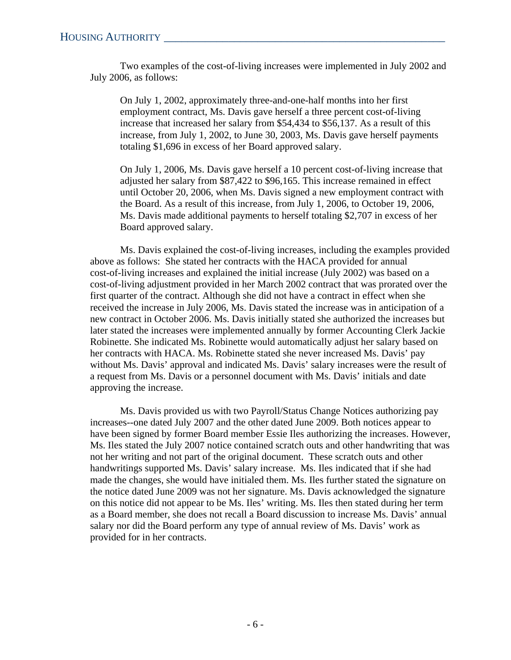# HOUSING AUTHORITY \_\_\_\_\_\_\_\_\_\_\_\_\_\_\_\_\_\_\_\_\_\_\_\_\_\_\_\_\_\_\_\_\_\_\_\_\_\_\_\_\_\_\_\_\_\_\_\_

Two examples of the cost-of-living increases were implemented in July 2002 and July 2006, as follows:

On July 1, 2002, approximately three-and-one-half months into her first employment contract, Ms. Davis gave herself a three percent cost-of-living increase that increased her salary from \$54,434 to \$56,137. As a result of this increase, from July 1, 2002, to June 30, 2003, Ms. Davis gave herself payments totaling \$1,696 in excess of her Board approved salary.

On July 1, 2006, Ms. Davis gave herself a 10 percent cost-of-living increase that adjusted her salary from \$87,422 to \$96,165. This increase remained in effect until October 20, 2006, when Ms. Davis signed a new employment contract with the Board. As a result of this increase, from July 1, 2006, to October 19, 2006, Ms. Davis made additional payments to herself totaling \$2,707 in excess of her Board approved salary.

Ms. Davis explained the cost-of-living increases, including the examples provided above as follows: She stated her contracts with the HACA provided for annual cost-of-living increases and explained the initial increase (July 2002) was based on a cost-of-living adjustment provided in her March 2002 contract that was prorated over the first quarter of the contract. Although she did not have a contract in effect when she received the increase in July 2006, Ms. Davis stated the increase was in anticipation of a new contract in October 2006. Ms. Davis initially stated she authorized the increases but later stated the increases were implemented annually by former Accounting Clerk Jackie Robinette. She indicated Ms. Robinette would automatically adjust her salary based on her contracts with HACA. Ms. Robinette stated she never increased Ms. Davis' pay without Ms. Davis' approval and indicated Ms. Davis' salary increases were the result of a request from Ms. Davis or a personnel document with Ms. Davis' initials and date approving the increase.

Ms. Davis provided us with two Payroll/Status Change Notices authorizing pay increases--one dated July 2007 and the other dated June 2009. Both notices appear to have been signed by former Board member Essie Iles authorizing the increases. However, Ms. Iles stated the July 2007 notice contained scratch outs and other handwriting that was not her writing and not part of the original document. These scratch outs and other handwritings supported Ms. Davis' salary increase. Ms. Iles indicated that if she had made the changes, she would have initialed them. Ms. Iles further stated the signature on the notice dated June 2009 was not her signature. Ms. Davis acknowledged the signature on this notice did not appear to be Ms. Iles' writing. Ms. Iles then stated during her term as a Board member, she does not recall a Board discussion to increase Ms. Davis' annual salary nor did the Board perform any type of annual review of Ms. Davis' work as provided for in her contracts.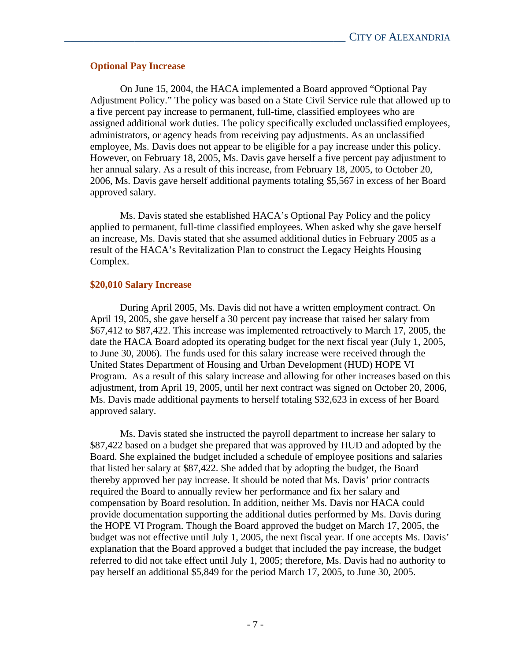#### **Optional Pay Increase**

On June 15, 2004, the HACA implemented a Board approved "Optional Pay Adjustment Policy." The policy was based on a State Civil Service rule that allowed up to a five percent pay increase to permanent, full-time, classified employees who are assigned additional work duties. The policy specifically excluded unclassified employees, administrators, or agency heads from receiving pay adjustments. As an unclassified employee, Ms. Davis does not appear to be eligible for a pay increase under this policy. However, on February 18, 2005, Ms. Davis gave herself a five percent pay adjustment to her annual salary. As a result of this increase, from February 18, 2005, to October 20, 2006, Ms. Davis gave herself additional payments totaling \$5,567 in excess of her Board approved salary.

Ms. Davis stated she established HACA's Optional Pay Policy and the policy applied to permanent, full-time classified employees. When asked why she gave herself an increase, Ms. Davis stated that she assumed additional duties in February 2005 as a result of the HACA's Revitalization Plan to construct the Legacy Heights Housing Complex.

### **\$20,010 Salary Increase**

During April 2005, Ms. Davis did not have a written employment contract. On April 19, 2005, she gave herself a 30 percent pay increase that raised her salary from \$67,412 to \$87,422. This increase was implemented retroactively to March 17, 2005, the date the HACA Board adopted its operating budget for the next fiscal year (July 1, 2005, to June 30, 2006). The funds used for this salary increase were received through the United States Department of Housing and Urban Development (HUD) HOPE VI Program. As a result of this salary increase and allowing for other increases based on this adjustment, from April 19, 2005, until her next contract was signed on October 20, 2006, Ms. Davis made additional payments to herself totaling \$32,623 in excess of her Board approved salary.

Ms. Davis stated she instructed the payroll department to increase her salary to \$87,422 based on a budget she prepared that was approved by HUD and adopted by the Board. She explained the budget included a schedule of employee positions and salaries that listed her salary at \$87,422. She added that by adopting the budget, the Board thereby approved her pay increase. It should be noted that Ms. Davis' prior contracts required the Board to annually review her performance and fix her salary and compensation by Board resolution. In addition, neither Ms. Davis nor HACA could provide documentation supporting the additional duties performed by Ms. Davis during the HOPE VI Program. Though the Board approved the budget on March 17, 2005, the budget was not effective until July 1, 2005, the next fiscal year. If one accepts Ms. Davis' explanation that the Board approved a budget that included the pay increase, the budget referred to did not take effect until July 1, 2005; therefore, Ms. Davis had no authority to pay herself an additional \$5,849 for the period March 17, 2005, to June 30, 2005.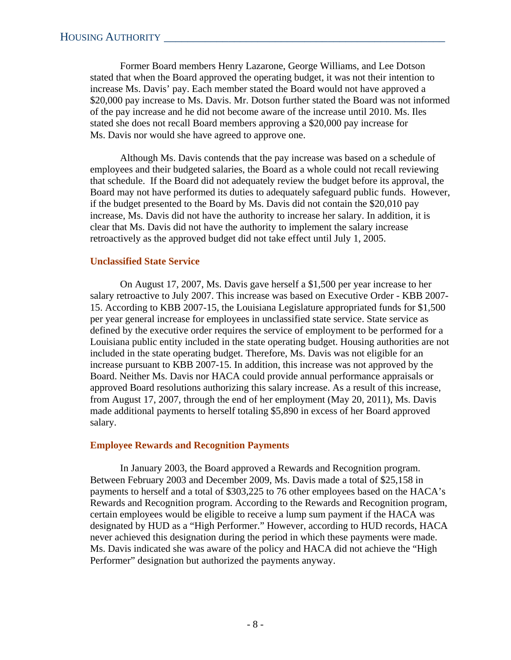Former Board members Henry Lazarone, George Williams, and Lee Dotson stated that when the Board approved the operating budget, it was not their intention to increase Ms. Davis' pay. Each member stated the Board would not have approved a \$20,000 pay increase to Ms. Davis. Mr. Dotson further stated the Board was not informed of the pay increase and he did not become aware of the increase until 2010. Ms. Iles stated she does not recall Board members approving a \$20,000 pay increase for Ms. Davis nor would she have agreed to approve one.

Although Ms. Davis contends that the pay increase was based on a schedule of employees and their budgeted salaries, the Board as a whole could not recall reviewing that schedule. If the Board did not adequately review the budget before its approval, the Board may not have performed its duties to adequately safeguard public funds. However, if the budget presented to the Board by Ms. Davis did not contain the \$20,010 pay increase, Ms. Davis did not have the authority to increase her salary. In addition, it is clear that Ms. Davis did not have the authority to implement the salary increase retroactively as the approved budget did not take effect until July 1, 2005.

### **Unclassified State Service**

On August 17, 2007, Ms. Davis gave herself a \$1,500 per year increase to her salary retroactive to July 2007. This increase was based on Executive Order - KBB 2007- 15. According to KBB 2007-15, the Louisiana Legislature appropriated funds for \$1,500 per year general increase for employees in unclassified state service. State service as defined by the executive order requires the service of employment to be performed for a Louisiana public entity included in the state operating budget. Housing authorities are not included in the state operating budget. Therefore, Ms. Davis was not eligible for an increase pursuant to KBB 2007-15. In addition, this increase was not approved by the Board. Neither Ms. Davis nor HACA could provide annual performance appraisals or approved Board resolutions authorizing this salary increase. As a result of this increase, from August 17, 2007, through the end of her employment (May 20, 2011), Ms. Davis made additional payments to herself totaling \$5,890 in excess of her Board approved salary.

#### **Employee Rewards and Recognition Payments**

In January 2003, the Board approved a Rewards and Recognition program. Between February 2003 and December 2009, Ms. Davis made a total of \$25,158 in payments to herself and a total of \$303,225 to 76 other employees based on the HACA's Rewards and Recognition program. According to the Rewards and Recognition program, certain employees would be eligible to receive a lump sum payment if the HACA was designated by HUD as a "High Performer." However, according to HUD records, HACA never achieved this designation during the period in which these payments were made. Ms. Davis indicated she was aware of the policy and HACA did not achieve the "High Performer" designation but authorized the payments anyway.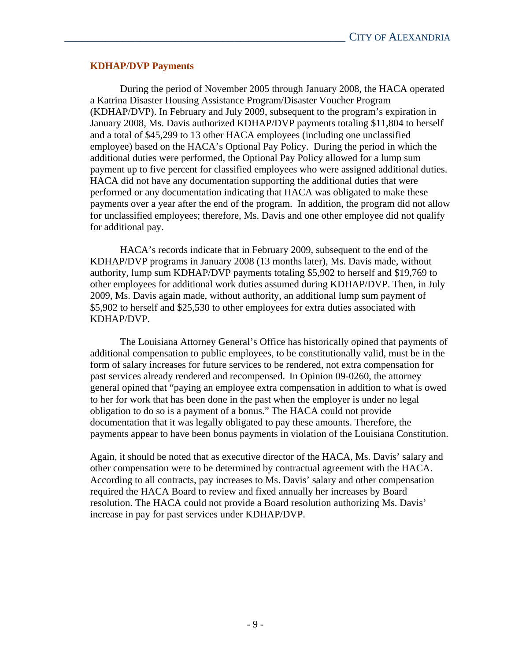#### **KDHAP/DVP Payments**

During the period of November 2005 through January 2008, the HACA operated a Katrina Disaster Housing Assistance Program/Disaster Voucher Program (KDHAP/DVP). In February and July 2009, subsequent to the program's expiration in January 2008, Ms. Davis authorized KDHAP/DVP payments totaling \$11,804 to herself and a total of \$45,299 to 13 other HACA employees (including one unclassified employee) based on the HACA's Optional Pay Policy. During the period in which the additional duties were performed, the Optional Pay Policy allowed for a lump sum payment up to five percent for classified employees who were assigned additional duties. HACA did not have any documentation supporting the additional duties that were performed or any documentation indicating that HACA was obligated to make these payments over a year after the end of the program. In addition, the program did not allow for unclassified employees; therefore, Ms. Davis and one other employee did not qualify for additional pay.

HACA's records indicate that in February 2009, subsequent to the end of the KDHAP/DVP programs in January 2008 (13 months later), Ms. Davis made, without authority, lump sum KDHAP/DVP payments totaling \$5,902 to herself and \$19,769 to other employees for additional work duties assumed during KDHAP/DVP. Then, in July 2009, Ms. Davis again made, without authority, an additional lump sum payment of \$5,902 to herself and \$25,530 to other employees for extra duties associated with KDHAP/DVP.

The Louisiana Attorney General's Office has historically opined that payments of additional compensation to public employees, to be constitutionally valid, must be in the form of salary increases for future services to be rendered, not extra compensation for past services already rendered and recompensed. In Opinion 09-0260, the attorney general opined that "paying an employee extra compensation in addition to what is owed to her for work that has been done in the past when the employer is under no legal obligation to do so is a payment of a bonus." The HACA could not provide documentation that it was legally obligated to pay these amounts. Therefore, the payments appear to have been bonus payments in violation of the Louisiana Constitution.

Again, it should be noted that as executive director of the HACA, Ms. Davis' salary and other compensation were to be determined by contractual agreement with the HACA. According to all contracts, pay increases to Ms. Davis' salary and other compensation required the HACA Board to review and fixed annually her increases by Board resolution. The HACA could not provide a Board resolution authorizing Ms. Davis' increase in pay for past services under KDHAP/DVP.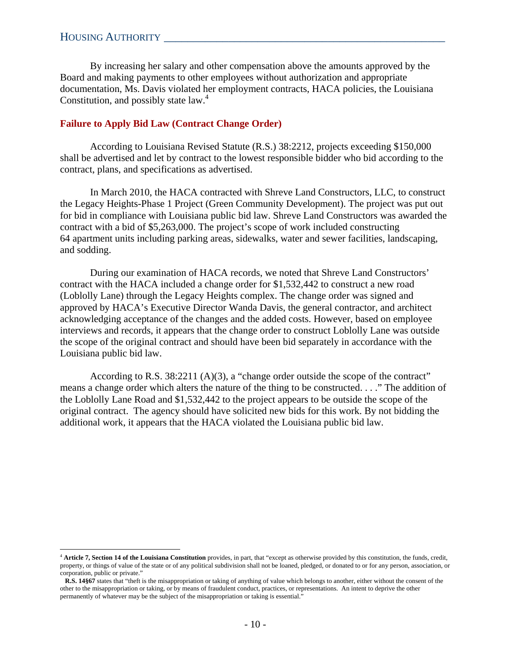$\overline{a}$ 

By increasing her salary and other compensation above the amounts approved by the Board and making payments to other employees without authorization and appropriate documentation, Ms. Davis violated her employment contracts, HACA policies, the Louisiana Constitution, and possibly state law.<sup>4</sup>

#### **Failure to Apply Bid Law (Contract Change Order)**

According to Louisiana Revised Statute (R.S.) 38:2212, projects exceeding \$150,000 shall be advertised and let by contract to the lowest responsible bidder who bid according to the contract, plans, and specifications as advertised.

In March 2010, the HACA contracted with Shreve Land Constructors, LLC, to construct the Legacy Heights-Phase 1 Project (Green Community Development). The project was put out for bid in compliance with Louisiana public bid law. Shreve Land Constructors was awarded the contract with a bid of \$5,263,000. The project's scope of work included constructing 64 apartment units including parking areas, sidewalks, water and sewer facilities, landscaping, and sodding.

During our examination of HACA records, we noted that Shreve Land Constructors' contract with the HACA included a change order for \$1,532,442 to construct a new road (Loblolly Lane) through the Legacy Heights complex. The change order was signed and approved by HACA's Executive Director Wanda Davis, the general contractor, and architect acknowledging acceptance of the changes and the added costs. However, based on employee interviews and records, it appears that the change order to construct Loblolly Lane was outside the scope of the original contract and should have been bid separately in accordance with the Louisiana public bid law.

According to R.S. 38:2211 (A)(3), a "change order outside the scope of the contract" means a change order which alters the nature of the thing to be constructed. . . ." The addition of the Loblolly Lane Road and \$1,532,442 to the project appears to be outside the scope of the original contract. The agency should have solicited new bids for this work. By not bidding the additional work, it appears that the HACA violated the Louisiana public bid law.

<sup>4</sup> **Article 7, Section 14 of the Louisiana Constitution** provides, in part, that "except as otherwise provided by this constitution, the funds, credit, property, or things of value of the state or of any political subdivision shall not be loaned, pledged, or donated to or for any person, association, or corporation, public or private."

**R.S. 14§67** states that "theft is the misappropriation or taking of anything of value which belongs to another, either without the consent of the other to the misappropriation or taking, or by means of fraudulent conduct, practices, or representations. An intent to deprive the other permanently of whatever may be the subject of the misappropriation or taking is essential."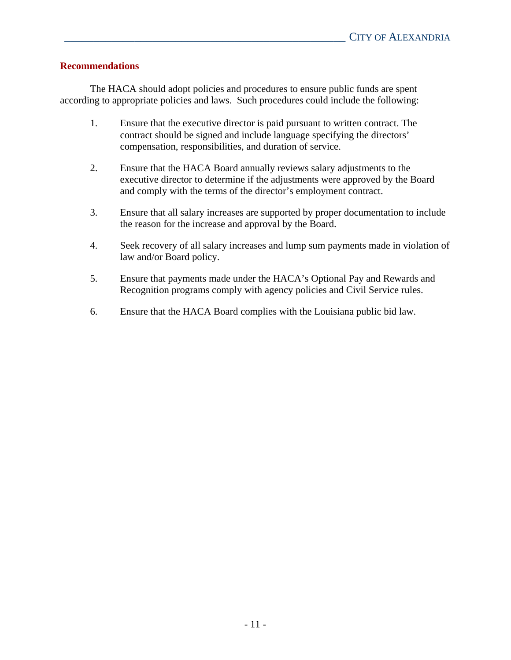### **Recommendations**

The HACA should adopt policies and procedures to ensure public funds are spent according to appropriate policies and laws. Such procedures could include the following:

- 1. Ensure that the executive director is paid pursuant to written contract. The contract should be signed and include language specifying the directors' compensation, responsibilities, and duration of service.
- 2. Ensure that the HACA Board annually reviews salary adjustments to the executive director to determine if the adjustments were approved by the Board and comply with the terms of the director's employment contract.
- 3. Ensure that all salary increases are supported by proper documentation to include the reason for the increase and approval by the Board.
- 4. Seek recovery of all salary increases and lump sum payments made in violation of law and/or Board policy.
- 5. Ensure that payments made under the HACA's Optional Pay and Rewards and Recognition programs comply with agency policies and Civil Service rules.
- 6. Ensure that the HACA Board complies with the Louisiana public bid law.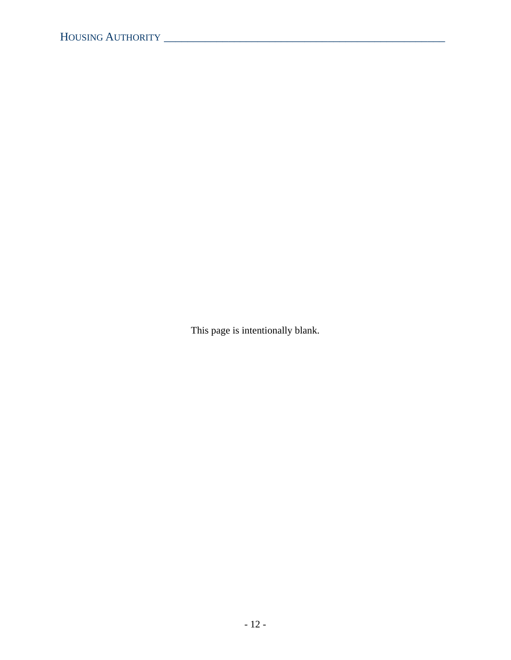This page is intentionally blank.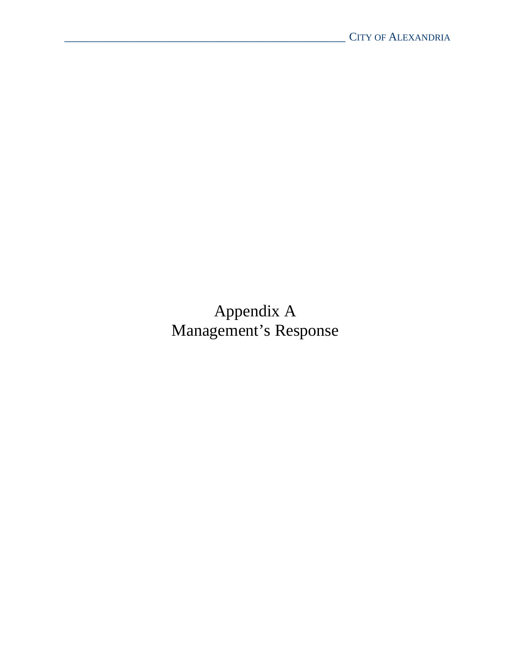Appendix A Management's Response